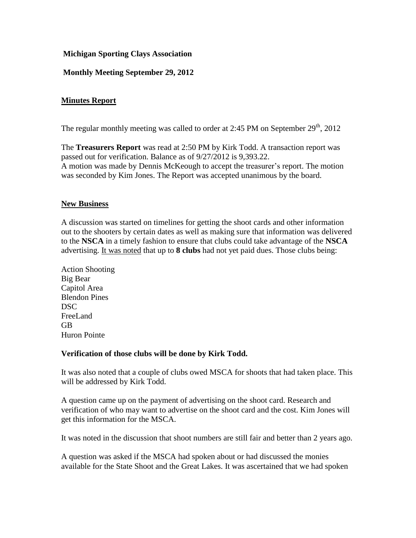# **Michigan Sporting Clays Association**

# **Monthly Meeting September 29, 2012**

# **Minutes Report**

The regular monthly meeting was called to order at 2:45 PM on September  $29<sup>th</sup>$ , 2012

The **Treasurers Report** was read at 2:50 PM by Kirk Todd. A transaction report was passed out for verification. Balance as of 9/27/2012 is 9,393.22. A motion was made by Dennis McKeough to accept the treasurer's report. The motion was seconded by Kim Jones. The Report was accepted unanimous by the board.

## **New Business**

A discussion was started on timelines for getting the shoot cards and other information out to the shooters by certain dates as well as making sure that information was delivered to the **NSCA** in a timely fashion to ensure that clubs could take advantage of the **NSCA**  advertising. It was noted that up to **8 clubs** had not yet paid dues. Those clubs being:

Action Shooting Big Bear Capitol Area Blendon Pines DSC FreeLand GB Huron Pointe

## **Verification of those clubs will be done by Kirk Todd.**

It was also noted that a couple of clubs owed MSCA for shoots that had taken place. This will be addressed by Kirk Todd.

A question came up on the payment of advertising on the shoot card. Research and verification of who may want to advertise on the shoot card and the cost. Kim Jones will get this information for the MSCA.

It was noted in the discussion that shoot numbers are still fair and better than 2 years ago.

A question was asked if the MSCA had spoken about or had discussed the monies available for the State Shoot and the Great Lakes. It was ascertained that we had spoken